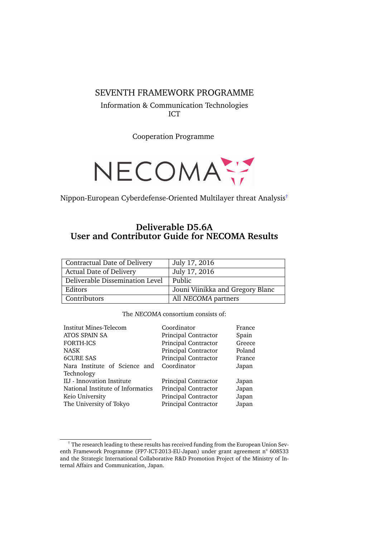#### SEVENTH FRAMEWORK PROGRAMME

Information & Communication Technologies ICT

Cooperation Programme



Nippon-European Cyberdefense-Oriented Multilayer threat Analysis[†](#page-0-0)

## **Deliverable D5.6A User and Contributor Guide for NECOMA Results**

| <b>Contractual Date of Delivery</b> | July 17, 2016                    |
|-------------------------------------|----------------------------------|
| <b>Actual Date of Delivery</b>      | July 17, 2016                    |
| Deliverable Dissemination Level     | Public                           |
| Editors                             | Jouni Viinikka and Gregory Blanc |
| Contributors                        | All NECOMA partners              |

#### The NECOMA consortium consists of:

| <b>Institut Mines-Telecom</b>               | Coordinator          | France |
|---------------------------------------------|----------------------|--------|
| ATOS SPAIN SA                               | Principal Contractor | Spain  |
| <b>FORTH-ICS</b>                            | Principal Contractor | Greece |
| <b>NASK</b>                                 | Principal Contractor | Poland |
| <b>6CURE SAS</b>                            | Principal Contractor | France |
| Nara Institute of Science and<br>Technology | Coordinator          | Japan  |
| IIJ - Innovation Institute                  | Principal Contractor | Japan  |
| National Institute of Informatics           | Principal Contractor | Japan  |
| Keio University                             | Principal Contractor | Japan  |
| The University of Tokyo                     | Principal Contractor | Japan  |

<span id="page-0-0"></span> $\dagger$  The research leading to these results has received funding from the European Union Seventh Framework Programme (FP7-ICT-2013-EU-Japan) under grant agreement n° 608533 and the Strategic International Collaborative R&D Promotion Project of the Ministry of Internal Affairs and Communication, Japan.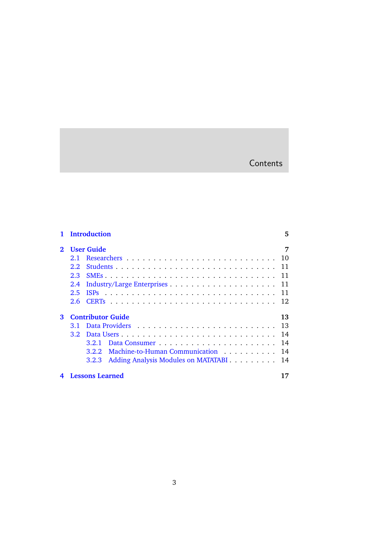# **Contents**

|                | <b>Introduction</b>                                                                                                                                                                                                                                                                                                                                                                                                                                                                     | 5 |
|----------------|-----------------------------------------------------------------------------------------------------------------------------------------------------------------------------------------------------------------------------------------------------------------------------------------------------------------------------------------------------------------------------------------------------------------------------------------------------------------------------------------|---|
| $\mathfrak{D}$ | <b>User Guide</b>                                                                                                                                                                                                                                                                                                                                                                                                                                                                       | 7 |
|                | 10<br>2.1                                                                                                                                                                                                                                                                                                                                                                                                                                                                               |   |
|                | 11<br>2.2 <sub>1</sub>                                                                                                                                                                                                                                                                                                                                                                                                                                                                  |   |
|                | 11<br>2.3                                                                                                                                                                                                                                                                                                                                                                                                                                                                               |   |
|                | 11<br>2.4                                                                                                                                                                                                                                                                                                                                                                                                                                                                               |   |
|                | $\mathcal{L}(\mathcal{L}(\mathcal{L},\mathcal{L},\mathcal{L},\mathcal{L},\mathcal{L},\mathcal{L},\mathcal{L},\mathcal{L},\mathcal{L},\mathcal{L},\mathcal{L},\mathcal{L},\mathcal{L},\mathcal{L},\mathcal{L},\mathcal{L},\mathcal{L},\mathcal{L},\mathcal{L},\mathcal{L},\mathcal{L},\mathcal{L},\mathcal{L},\mathcal{L},\mathcal{L},\mathcal{L},\mathcal{L},\mathcal{L},\mathcal{L},\mathcal{L},\mathcal{L},\mathcal{L},\mathcal{L},\mathcal{L},\mathcal{$<br><b>ISPs</b><br>2.5<br>11 |   |
|                | 12<br>2.6                                                                                                                                                                                                                                                                                                                                                                                                                                                                               |   |
| 3              | <b>Contributor Guide</b><br>13                                                                                                                                                                                                                                                                                                                                                                                                                                                          |   |
|                | 13<br>3.1                                                                                                                                                                                                                                                                                                                                                                                                                                                                               |   |
|                | 14<br>3.2 <sub>1</sub>                                                                                                                                                                                                                                                                                                                                                                                                                                                                  |   |
|                | 14<br>3.2.1                                                                                                                                                                                                                                                                                                                                                                                                                                                                             |   |
|                | Machine-to-Human Communication<br>14<br>3.2.2                                                                                                                                                                                                                                                                                                                                                                                                                                           |   |
|                | Adding Analysis Modules on MATATABI<br>14<br>3.2.3                                                                                                                                                                                                                                                                                                                                                                                                                                      |   |
|                | <b>Lessons Learned</b>                                                                                                                                                                                                                                                                                                                                                                                                                                                                  |   |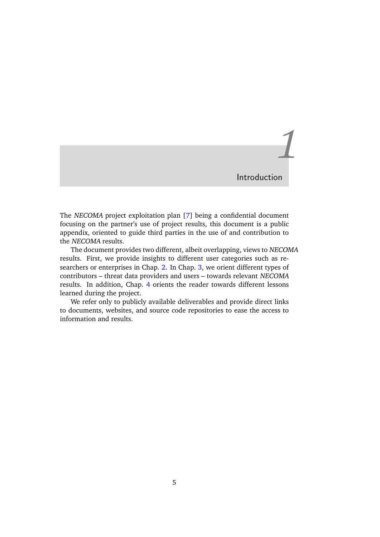# *1* Introduction

<span id="page-4-0"></span>The NECOMA project exploitation plan [\[7\]](#page-18-0) being a confidential document focusing on the partner's use of project results, this document is a public appendix, oriented to guide third parties in the use of and contribution to the NECOMA results.

The document provides two different, albeit overlapping, views to NECOMA results. First, we provide insights to different user categories such as researchers or enterprises in Chap. [2.](#page-6-0) In Chap. [3,](#page-12-0) we orient different types of contributors – threat data providers and users – towards relevant NECOMA results. In addition, Chap. [4](#page-16-0) orients the reader towards different lessons learned during the project.

We refer only to publicly available deliverables and provide direct links to documents, websites, and source code repositories to ease the access to information and results.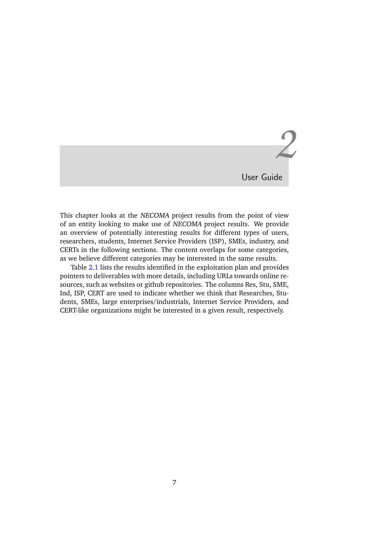*2*

User Guide

<span id="page-6-0"></span>This chapter looks at the NECOMA project results from the point of view of an entity looking to make use of NECOMA project results. We provide an overview of potentially interesting results for different types of users, researchers, students, Internet Service Providers (ISP), SMEs, industry, and CERTs in the following sections. The content overlaps for some categories, as we believe different categories may be interested in the same results.

Table [2.1](#page-7-0) lists the results identified in the exploitation plan and provides pointers to deliverables with more details, including URLs towards online resources, such as websites or github repositories. The columns Res, Stu, SME, Ind, ISP, CERT are used to indicate whether we think that Researches, Students, SMEs, large enterprises/industrials, Internet Service Providers, and CERT-like organizations might be interested in a given result, respectively.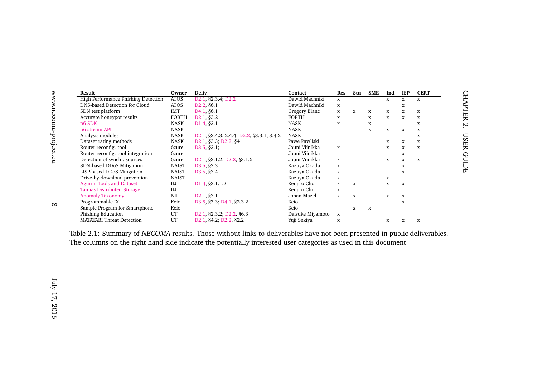| Result                              | Owner        | Deliy.                                   | Contact          | Res         | Stu         | <b>SME</b>  | Ind          | <b>ISP</b>  | <b>CERT</b>  |    |                |
|-------------------------------------|--------------|------------------------------------------|------------------|-------------|-------------|-------------|--------------|-------------|--------------|----|----------------|
| High Performance Phishing Detection | <b>ATOS</b>  | D2.1, §2.3.4; D2.2                       | Dawid Machniki   | $\mathbf x$ |             |             | X            | X           | $\mathbf x$  |    | <b>CHAPTER</b> |
| DNS-based Detection for Cloud       | <b>ATOS</b>  | D <sub>2.2</sub> , §6.1                  | Dawid Machniki   | $\mathbf x$ |             |             |              | X           |              |    |                |
| SDN test platform                   | <b>IMT</b>   | D <sub>4.1</sub> , §6.1                  | Gregory Blanc    | X           | X           | X           | X            | X           | X            |    |                |
| Accurate honeypot results           | <b>FORTH</b> | D <sub>2.1</sub> §3.2                    | <b>FORTH</b>     | $\mathbf X$ |             | X           | $\mathbf x$  | X           | X            |    |                |
| n6 SDK                              | <b>NASK</b>  | D <sub>1.4</sub> , §2.1                  | <b>NASK</b>      | X           |             | x           |              |             | X            | ŗ, |                |
| n6 stream API                       | NASK         |                                          | <b>NASK</b>      |             |             | $\mathbf x$ | $\mathbf{x}$ | $\mathbf X$ | $\mathbf x$  |    |                |
| Analysis modules                    | <b>NASK</b>  | D2.1, §2.4.3, 2.4.4; D2.2, §3.3.1, 3.4.2 | <b>NASK</b>      |             |             |             |              |             | X            | SQ |                |
| Dataset rating methods              | <b>NASK</b>  | D2.1, §3.3; D2.2, §4                     | Pawe Pawliski    |             |             |             | X            | X           | X            |    |                |
| Router reconfig. tool               | 6cure        | D3.5, §2.1;                              | Jouni Viinikka   | $\mathbf x$ |             |             | $\mathbf x$  | $\mathbf X$ | $\mathbf x$  |    | 臣              |
| Router reconfig. tool integration   | <b>6cure</b> |                                          | Jouni Viinikka   |             |             |             |              | X           |              |    | $\Omega$       |
| Detection of synchr. sources        | <b>6cure</b> | D2.1, §2.1.2; D2.2, §3.1.6               | Jouni Viinikka   | $\mathbf x$ |             |             | X            | X           | $\mathbf{x}$ |    | ECIDE          |
| SDN-based DDoS Mitigation           | <b>NAIST</b> | D3.5, §3.3                               | Kazuya Okada     | $\mathbf x$ |             |             |              | X           |              |    |                |
| LISP-based DDoS Mitigation          | <b>NAIST</b> | D3.5 §3.4                                | Kazuya Okada     | $\mathbf X$ |             |             |              | X           |              |    |                |
| Drive-by-download prevention        | <b>NAIST</b> |                                          | Kazuya Okada     | $\mathbf X$ |             |             | x            |             |              |    |                |
| <b>Agurim Tools and Dataset</b>     | IIJ          | D <sub>1.4</sub> , §3.1.1.2              | Kenjiro Cho      | $\mathbf X$ | $\mathbf x$ |             | $\mathbf x$  | X           |              |    |                |
| <b>Tamias Distributed Storage</b>   | IIJ          |                                          | Kenjiro Cho      | $\mathbf X$ |             |             |              |             |              |    |                |
| <b>Anomaly Taxonomy</b>             | <b>NII</b>   | D2.1, §3.1                               | Johan Mazel      | $\mathbf x$ | $\mathbf x$ |             | $\mathbf x$  | X           |              |    |                |
| Programmable IX                     | Keio         | D3.5, §3.3; D4.1, §2.3.2                 | Keio             |             |             |             |              | X           |              |    |                |
| Sample Program for Smartphone       | Keio         |                                          | Keio             |             | $\mathbf X$ | $\mathbf x$ |              |             |              |    |                |
| Phishing Education                  | UT           | D2.1, §2.3.2; D2.2, §6.3                 | Daisuke Miyamoto | x           |             |             |              |             |              |    |                |
| <b>MATATABI Threat Detection</b>    | UT           | D2.1, §4.2; D2.2, §2.2                   | Yuji Sekiya      | X           |             |             | X            | X           | X            |    |                |
|                                     |              |                                          |                  |             |             |             |              |             |              |    |                |

<span id="page-7-0"></span>Table 2.1: Summary of NECOMA results. Those without links to deliverables have not been presented in public deliverables. The columns on the right hand side indicate the potentially interested user categories as used in this document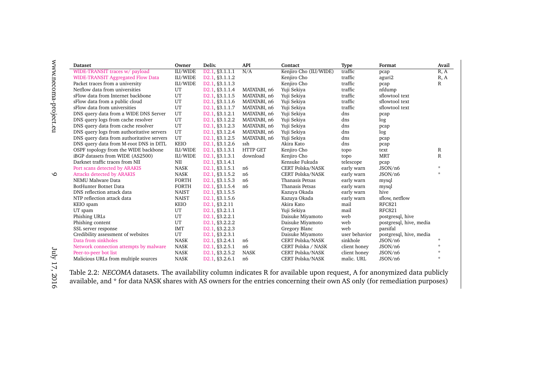| <b>Dataset</b>                            | Owner        | Deliy.                      | <b>API</b>      | Contact                 | <b>Type</b>   | Format                  | Avail   |
|-------------------------------------------|--------------|-----------------------------|-----------------|-------------------------|---------------|-------------------------|---------|
| WIDE-TRANSIT traces w/ payload            | IIJ/WIDE     | D2.1, §3.1.1.1              | N/A             | Kenjiro Cho (IIJ/WIDE)  | traffic       | pcap                    | R, A    |
| <b>WIDE-TRANSIT Aggregated Flow Data</b>  | IIJ/WIDE     | D2.1, §3.1.1.2              |                 | Kenjiro Cho             | traffic       | aguri2                  | R, A    |
| Packet traces from a university           | IIJ/WIDE     | D2.1, §3.1.1.3              |                 | Kenjiro Cho             | traffic       | pcap                    | R       |
| Netflow data from universities            | UT           | D2.1, §3.1.1.4              | MATATABI, n6    | Yuji Sekiya             | traffic       | nfdump                  |         |
| sFlow data from Internet backbone         | UT           | D2.1, §3.1.1.5              | MATATABI, n6    | Yuji Sekiya             | traffic       | sflowtool text          |         |
| sFlow data from a public cloud            | UT           | D2.1, §3.1.1.6              | MATATABI, n6    | Yuji Sekiya             | traffic       | sflowtool text          |         |
| sFlow data from universities              | UT           | D2.1, §3.1.1.7              | MATATABI, n6    | Yuji Sekiya             | traffic       | sflowtool text          |         |
| DNS query data from a WIDE DNS Server     | UT           | D2.1, §3.1.2.1              | MATATABI, n6    | Yuji Sekiya             | dns           | pcap                    |         |
| DNS query logs from cache resolver        | UT           | D2.1, §3.1.2.2              | MATATABI, n6    | Yuji Sekiya             | dns           | log                     |         |
| DNS query data from cache resolver        | UT           | D2.1, §3.1.2.3              | MATATABI, n6    | Yuji Sekiya             | dns           | pcap                    |         |
| DNS query logs from authoritative servers | UT           | D2.1, §3.1.2.4              | MATATABI, n6    | Yuji Sekiya             | dns           | log                     |         |
| DNS query data from authoritative servers | UT           | D2.1, §3.1.2.5              | MATATABI, n6    | Yuji Sekiya             | dns           | pcap                    |         |
| DNS query data from M-root DNS in DITL    | <b>KEIO</b>  | D2.1, §3.1.2.6              | ssh             | Akira Kato              | dns           | pcap                    |         |
| OSPF topology from the WIDE backbone      | IIJ/WIDE     | D2.1, §3.1.3.1              | <b>HTTP GET</b> | Kenjiro Cho             | topo          | text                    | R       |
| iBGP datasets from WIDE (AS2500)          | IIJ/WIDE     | D <sub>2.1</sub> §3.1.3.1   | download        | Kenjiro Cho             | topo          | <b>MRT</b>              | R       |
| Darknet traffic traces from NII           | NII          | D2.1, §3.1.4.1              |                 | Kensuke Fukuda          | telescope     | pcap                    |         |
| Port scans detected by ARAKIS             | <b>NASK</b>  | D2.1, §3.1.5.1              | n6              | <b>CERT Polska/NASK</b> | early warn    | JSON/n6                 | $\star$ |
| <b>Attacks detected by ARAKIS</b>         | <b>NASK</b>  | D2.1, §3.1.5.2              | n <sub>6</sub>  | <b>CERT Polska/NASK</b> | early warn    | JSON/n6                 | $\star$ |
| NEMU Malware Data                         | <b>FORTH</b> | D2.1, §3.1.5.3              | n6              | Thanasis Petsas         | early warn    | mysql                   |         |
| <b>BotHunter Botnet Data</b>              | <b>FORTH</b> | D2.1, §3.1.5.4              | n <sub>6</sub>  | Thanasis Petsas         | early warn    | mysql                   |         |
| DNS reflection attack data                | <b>NAIST</b> | D2.1, §3.1.5.5              |                 | Kazuya Okada            | early warn    | hive                    |         |
| NTP reflection attack data                | <b>NAIST</b> | D2.1, §3.1.5.6              |                 | Kazuya Okada            | early warn    | sflow, netflow          |         |
| KEIO spam                                 | <b>KEIO</b>  | D <sub>2.1</sub> , §3.2.11  |                 | Akira Kato              | mail          | <b>RFC821</b>           |         |
| UT spam                                   | UT           | D2.1, §3.2.1.1              |                 | Yuji Sekiya             | mail          | <b>RFC821</b>           |         |
| Phishing URLs                             | UT           | D2.1, §3.2.2.1              |                 | Daisuke Miyamoto        | web           | postgresql, hive        |         |
| Phishing content                          | UT           | D2.1, §3.2.2.2              |                 | Daisuke Miyamoto        | web           | postgresql, hive, media |         |
| SSL server response                       | <b>IMT</b>   | D2.1, §3.2.2.3              |                 | Gregory Blanc           | web           | parsifal                |         |
| Credibility assessment of websites        | UT           | D2.1, §3.2.3.1              |                 | Daisuke Miyamoto        | user behavior | postgresql, hive, media |         |
| Data from sinkholes                       | <b>NASK</b>  | D2.1, §3.2.4.1              | n6              | CERT Polska/NASK        | sinkhole      | JSON/n6                 | $\star$ |
| Network connection attempts by malware    | <b>NASK</b>  | D2.1, §3.2.5.1              | n6              | CERT Polska / NASK      | client honey  | JSON/n6                 | ÷       |
| Peer-to-peer bot list                     | <b>NASK</b>  | D2.1, §3.2.5.2              | <b>NASK</b>     | <b>CERT Polska/NASK</b> | client honey  | JSON/n6                 | $\star$ |
| Malicious URLs from multiple sources      | <b>NASK</b>  | D <sub>2.1</sub> , §3.2.6.1 | n6              | <b>CERT Polska/NASK</b> | malic. URL    | JSON/n6                 | $\star$ |

<span id="page-8-0"></span>Table 2.2: NECOMA datasets. The availability column indicates <sup>R</sup> for available upon request, <sup>A</sup> for anonymized data publicly available, and \* for data NASK shares with AS owners for the entries concerning their own AS only (for remediation purposes)

www.necoma-project.eu

 $\circ$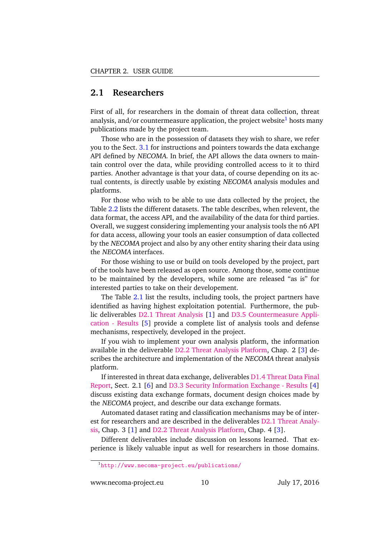## <span id="page-9-0"></span>**2.1 Researchers**

First of all, for researchers in the domain of threat data collection, threat analysis, and/or countermeasure application, the project website<sup>[1](#page-9-1)</sup> hosts many publications made by the project team.

Those who are in the possession of datasets they wish to share, we refer you to the Sect. [3.1](#page-12-1) for instructions and pointers towards the data exchange API defined by NECOMA. In brief, the API allows the data owners to maintain control over the data, while providing controlled access to it to third parties. Another advantage is that your data, of course depending on its actual contents, is directly usable by existing NECOMA analysis modules and platforms.

For those who wish to be able to use data collected by the project, the Table [2.2](#page-8-0) lists the different datasets. The table describes, when relevent, the data format, the access API, and the availability of the data for third parties. Overall, we suggest considering implementing your analysis tools the n6 API for data access, allowing your tools an easier consumption of data collected by the NECOMA project and also by any other entity sharing their data using the NECOMA interfaces.

For those wishing to use or build on tools developed by the project, part of the tools have been released as open source. Among those, some continue to be maintained by the developers, while some are released "as is" for interested parties to take on their developement.

The Table [2.1](#page-7-0) list the results, including tools, the project partners have identified as having highest exploitation potential. Furthermore, the public deliverables [D2.1 Threat Analysis](http://www.necoma-project.eu/m/filer_public/f0/65/f0654584-6fe2-40cd-8204-4781dfc6f7a8/necoma-d21r1345-public.pdf) [\[1\]](#page-18-1) and [D3.5 Countermeasure Appli](http://www.necoma-project.eu/m/filer_public/70/fd/70fd1052-cf95-4b58-bc47-61a75be64d19/necoma-d35r2577.pdf)[cation - Results](http://www.necoma-project.eu/m/filer_public/70/fd/70fd1052-cf95-4b58-bc47-61a75be64d19/necoma-d35r2577.pdf) [\[5\]](#page-18-2) provide a complete list of analysis tools and defense mechanisms, respectively, developed in the project.

If you wish to implement your own analysis platform, the information available in the deliverable [D2.2 Threat Analysis Platform,](http://www.necoma-project.eu/m/filer_public/74/f1/74f1bc84-e756-491b-8916-f892e28cf33c/necoma-d22r2579.pdf) Chap. 2 [\[3\]](#page-18-3) describes the architecture and implementation of the NECOMA threat analysis platform.

If interested in threat data exchange, deliverables [D1.4 Threat Data Final](http://www.necoma-project.eu/m/filer_public/55/ec/55ec2e53-14fa-40f4-a67f-c7a092cfe463/necoma-d14.pdf) [Report,](http://www.necoma-project.eu/m/filer_public/55/ec/55ec2e53-14fa-40f4-a67f-c7a092cfe463/necoma-d14.pdf) Sect. 2.1 [\[6\]](#page-18-4) and [D3.3 Security Information Exchange - Results](http://www.necoma-project.eu/m/filer_public/ef/8b/ef8bda53-edd2-4943-9c1f-95b30dbad1d1/necoma-d33r1946-public.pdf) [\[4\]](#page-18-5) discuss existing data exchange formats, document design choices made by the NECOMA project, and describe our data exchange formats.

Automated dataset rating and classification mechanisms may be of interest for researchers and are described in the deliverables [D2.1 Threat Analy](http://www.necoma-project.eu/m/filer_public/f0/65/f0654584-6fe2-40cd-8204-4781dfc6f7a8/necoma-d21r1345-public.pdf)[sis,](http://www.necoma-project.eu/m/filer_public/f0/65/f0654584-6fe2-40cd-8204-4781dfc6f7a8/necoma-d21r1345-public.pdf) Chap. 3 [\[1\]](#page-18-1) and [D2.2 Threat Analysis Platform,](http://www.necoma-project.eu/m/filer_public/74/f1/74f1bc84-e756-491b-8916-f892e28cf33c/necoma-d22r2579.pdf) Chap. 4 [\[3\]](#page-18-3).

Different deliverables include discussion on lessons learned. That experience is likely valuable input as well for researchers in those domains.

www.necoma-project.eu 10 July 17, 2016

<span id="page-9-1"></span><sup>&</sup>lt;sup>1</sup><http://www.necoma-project.eu/publications/>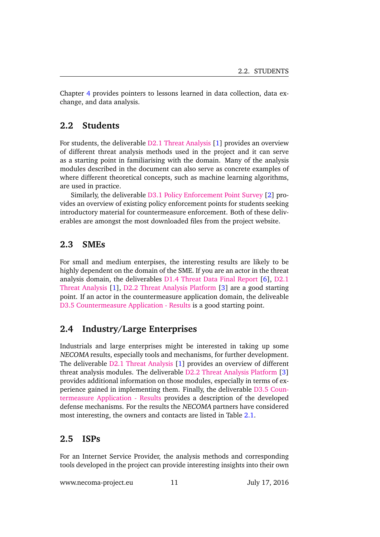Chapter [4](#page-16-0) provides pointers to lessons learned in data collection, data exchange, and data analysis.

### <span id="page-10-0"></span>**2.2 Students**

For students, the deliverable [D2.1 Threat Analysis](http://www.necoma-project.eu/m/filer_public/f0/65/f0654584-6fe2-40cd-8204-4781dfc6f7a8/necoma-d21r1345-public.pdf) [\[1\]](#page-18-1) provides an overview of different threat analysis methods used in the project and it can serve as a starting point in familiarising with the domain. Many of the analysis modules described in the document can also serve as concrete examples of where different theoretical concepts, such as machine learning algorithms, are used in practice.

Similarly, the deliverable [D3.1 Policy Enforcement Point Survey](http://www.necoma-project.eu/m/filer_public/0e/75/0e75c773-a857-416b-99a0-090ec0b38388/necoma-d31r207.pdf) [\[2\]](#page-18-6) provides an overview of existing policy enforcement points for students seeking introductory material for countermeasure enforcement. Both of these deliverables are amongst the most downloaded files from the project website.

## <span id="page-10-1"></span>**2.3 SMEs**

For small and medium enterpises, the interesting results are likely to be highly dependent on the domain of the SME. If you are an actor in the threat analysis domain, the deliverables [D1.4 Threat Data Final Report](http://www.necoma-project.eu/m/filer_public/55/ec/55ec2e53-14fa-40f4-a67f-c7a092cfe463/necoma-d14.pdf) [\[6\]](#page-18-4), [D2.1](http://www.necoma-project.eu/m/filer_public/f0/65/f0654584-6fe2-40cd-8204-4781dfc6f7a8/necoma-d21r1345-public.pdf) [Threat Analysis](http://www.necoma-project.eu/m/filer_public/f0/65/f0654584-6fe2-40cd-8204-4781dfc6f7a8/necoma-d21r1345-public.pdf) [\[1\]](#page-18-1), [D2.2 Threat Analysis Platform](http://www.necoma-project.eu/m/filer_public/74/f1/74f1bc84-e756-491b-8916-f892e28cf33c/necoma-d22r2579.pdf) [\[3\]](#page-18-3) are a good starting point. If an actor in the countermeasure application domain, the deliveable [D3.5 Countermeasure Application - Results](http://www.necoma-project.eu/m/filer_public/70/fd/70fd1052-cf95-4b58-bc47-61a75be64d19/necoma-d35r2577.pdf) is a good starting point.

### <span id="page-10-2"></span>**2.4 Industry/Large Enterprises**

Industrials and large enterprises might be interested in taking up some NECOMA results, especially tools and mechanisms, for further development. The deliverable [D2.1 Threat Analysis](http://www.necoma-project.eu/m/filer_public/f0/65/f0654584-6fe2-40cd-8204-4781dfc6f7a8/necoma-d21r1345-public.pdf) [\[1\]](#page-18-1) provides an overview of different threat analysis modules. The deliverable [D2.2 Threat Analysis Platform](http://www.necoma-project.eu/m/filer_public/74/f1/74f1bc84-e756-491b-8916-f892e28cf33c/necoma-d22r2579.pdf) [\[3\]](#page-18-3) provides additional information on those modules, especially in terms of experience gained in implementing them. Finally, the deliverable [D3.5 Coun](http://www.necoma-project.eu/m/filer_public/70/fd/70fd1052-cf95-4b58-bc47-61a75be64d19/necoma-d35r2577.pdf)[termeasure Application - Results](http://www.necoma-project.eu/m/filer_public/70/fd/70fd1052-cf95-4b58-bc47-61a75be64d19/necoma-d35r2577.pdf) provides a description of the developed defense mechanisms. For the results the NECOMA partners have considered most interesting, the owners and contacts are listed in Table [2.1.](#page-7-0)

### <span id="page-10-3"></span>**2.5 ISPs**

For an Internet Service Provider, the analysis methods and corresponding tools developed in the project can provide interesting insights into their own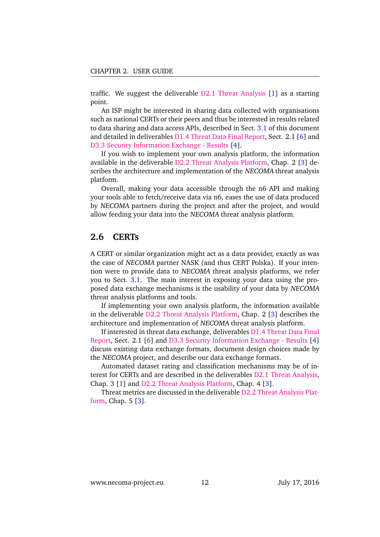traffic. We suggest the deliverable [D2.1 Threat Analysis](http://www.necoma-project.eu/m/filer_public/f0/65/f0654584-6fe2-40cd-8204-4781dfc6f7a8/necoma-d21r1345-public.pdf) [\[1\]](#page-18-1) as a starting point.

An ISP might be interested in sharing data collected with organisations such as national CERTs or their peers and thus be interested in results related to data sharing and data access APIs, described in Sect. [3.1](#page-12-1) of this document and detailed in deliverables [D1.4 Threat Data Final Report,](http://www.necoma-project.eu/m/filer_public/55/ec/55ec2e53-14fa-40f4-a67f-c7a092cfe463/necoma-d14.pdf) Sect. 2.1 [\[6\]](#page-18-4) and [D3.3 Security Information Exchange - Results](http://www.necoma-project.eu/m/filer_public/ef/8b/ef8bda53-edd2-4943-9c1f-95b30dbad1d1/necoma-d33r1946-public.pdf) [\[4\]](#page-18-5).

If you wish to implement your own analysis platform, the information available in the deliverable [D2.2 Threat Analysis Platform,](http://www.necoma-project.eu/m/filer_public/74/f1/74f1bc84-e756-491b-8916-f892e28cf33c/necoma-d22r2579.pdf) Chap. 2 [\[3\]](#page-18-3) describes the architecture and implementation of the NECOMA threat analysis platform.

Overall, making your data accessible through the n6 API and making your tools able to fetch/receive data via n6, eases the use of data produced by NECOMA partners during the project and after the project, and would allow feeding your data into the NECOMA threat analysis platform.

#### <span id="page-11-0"></span>**2.6 CERTs**

A CERT or similar organization might act as a data provider, exactly as was the case of NECOMA partner NASK (and thus CERT Polska). If your intention were to provide data to NECOMA threat analysis platforms, we refer you to Sect. [3.1.](#page-12-1) The main interest in exposing your data using the proposed data exchange mechanisms is the usability of your data by NECOMA threat analysis platforms and tools.

If implementing your own analysis platform, the information available in the deliverable [D2.2 Threat Analysis Platform,](http://www.necoma-project.eu/m/filer_public/74/f1/74f1bc84-e756-491b-8916-f892e28cf33c/necoma-d22r2579.pdf) Chap. 2 [\[3\]](#page-18-3) describes the architecture and implementation of NECOMA threat analysis platform.

If interested in threat data exchange, deliverables [D1.4 Threat Data Final](http://www.necoma-project.eu/m/filer_public/55/ec/55ec2e53-14fa-40f4-a67f-c7a092cfe463/necoma-d14.pdf) [Report,](http://www.necoma-project.eu/m/filer_public/55/ec/55ec2e53-14fa-40f4-a67f-c7a092cfe463/necoma-d14.pdf) Sect. 2.1 [\[6\]](#page-18-4) and [D3.3 Security Information Exchange - Results](http://www.necoma-project.eu/m/filer_public/ef/8b/ef8bda53-edd2-4943-9c1f-95b30dbad1d1/necoma-d33r1946-public.pdf) [\[4\]](#page-18-5) discuss existing data exchange formats, document design choices made by the NECOMA project, and describe our data exchange formats.

Automated dataset rating and classification mechanisms may be of interest for CERTs and are described in the deliverables [D2.1 Threat Analysis,](http://www.necoma-project.eu/m/filer_public/f0/65/f0654584-6fe2-40cd-8204-4781dfc6f7a8/necoma-d21r1345-public.pdf) Chap. 3 [\[1\]](#page-18-1) and [D2.2 Threat Analysis Platform,](http://www.necoma-project.eu/m/filer_public/74/f1/74f1bc84-e756-491b-8916-f892e28cf33c/necoma-d22r2579.pdf) Chap. 4 [\[3\]](#page-18-3).

Threat metrics are discussed in the deliverable [D2.2 Threat Analysis Plat](http://www.necoma-project.eu/m/filer_public/74/f1/74f1bc84-e756-491b-8916-f892e28cf33c/necoma-d22r2579.pdf)[form,](http://www.necoma-project.eu/m/filer_public/74/f1/74f1bc84-e756-491b-8916-f892e28cf33c/necoma-d22r2579.pdf) Chap. 5 [\[3\]](#page-18-3).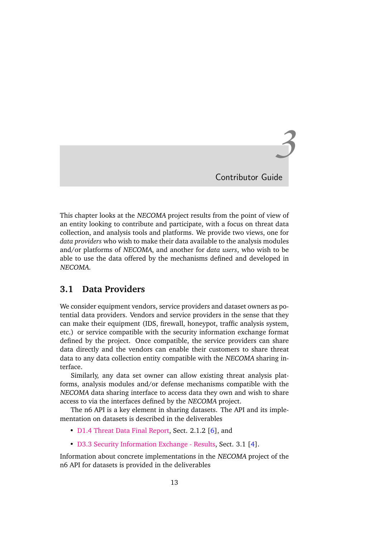*3*

Contributor Guide

<span id="page-12-0"></span>This chapter looks at the NECOMA project results from the point of view of an entity looking to contribute and participate, with a focus on threat data collection, and analysis tools and platforms. We provide two views, one for *data providers* who wish to make their data available to the analysis modules and/or platforms of NECOMA, and another for *data users*, who wish to be able to use the data offered by the mechanisms defined and developed in NECOMA.

### <span id="page-12-1"></span>**3.1 Data Providers**

We consider equipment vendors, service providers and dataset owners as potential data providers. Vendors and service providers in the sense that they can make their equipment (IDS, firewall, honeypot, traffic analysis system, etc.) or service compatible with the security information exchange format defined by the project. Once compatible, the service providers can share data directly and the vendors can enable their customers to share threat data to any data collection entity compatible with the NECOMA sharing interface.

Similarly, any data set owner can allow existing threat analysis platforms, analysis modules and/or defense mechanisms compatible with the NECOMA data sharing interface to access data they own and wish to share access to via the interfaces defined by the NECOMA project.

The n6 API is a key element in sharing datasets. The API and its implementation on datasets is described in the deliverables

- [D1.4 Threat Data Final Report,](http://www.necoma-project.eu/m/filer_public/55/ec/55ec2e53-14fa-40f4-a67f-c7a092cfe463/necoma-d14.pdf) Sect. 2.1.2 [\[6\]](#page-18-4), and
- [D3.3 Security Information Exchange Results,](http://www.necoma-project.eu/m/filer_public/ef/8b/ef8bda53-edd2-4943-9c1f-95b30dbad1d1/necoma-d33r1946-public.pdf) Sect. 3.1 [\[4\]](#page-18-5).

Information about concrete implementations in the NECOMA project of the n6 API for datasets is provided in the deliverables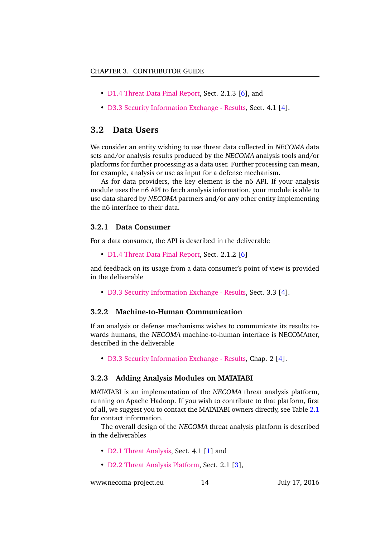- [D1.4 Threat Data Final Report,](http://www.necoma-project.eu/m/filer_public/55/ec/55ec2e53-14fa-40f4-a67f-c7a092cfe463/necoma-d14.pdf) Sect. 2.1.3 [\[6\]](#page-18-4), and
- [D3.3 Security Information Exchange Results,](http://www.necoma-project.eu/m/filer_public/ef/8b/ef8bda53-edd2-4943-9c1f-95b30dbad1d1/necoma-d33r1946-public.pdf) Sect. 4.1 [\[4\]](#page-18-5).

### <span id="page-13-0"></span>**3.2 Data Users**

We consider an entity wishing to use threat data collected in NECOMA data sets and/or analysis results produced by the NECOMA analysis tools and/or platforms for further processing as a data user. Further processing can mean, for example, analysis or use as input for a defense mechanism.

As for data providers, the key element is the n6 API. If your analysis module uses the n6 API to fetch analysis information, your module is able to use data shared by NECOMA partners and/or any other entity implementing the n6 interface to their data.

#### <span id="page-13-1"></span>**3.2.1 Data Consumer**

For a data consumer, the API is described in the deliverable

• [D1.4 Threat Data Final Report,](http://www.necoma-project.eu/m/filer_public/55/ec/55ec2e53-14fa-40f4-a67f-c7a092cfe463/necoma-d14.pdf) Sect. 2.1.2 [\[6\]](#page-18-4)

and feedback on its usage from a data consumer's point of view is provided in the deliverable

• [D3.3 Security Information Exchange - Results,](http://www.necoma-project.eu/m/filer_public/ef/8b/ef8bda53-edd2-4943-9c1f-95b30dbad1d1/necoma-d33r1946-public.pdf) Sect. 3.3 [\[4\]](#page-18-5).

#### <span id="page-13-2"></span>**3.2.2 Machine-to-Human Communication**

If an analysis or defense mechanisms wishes to communicate its results towards humans, the NECOMA machine-to-human interface is NECOMAtter, described in the deliverable

• [D3.3 Security Information Exchange - Results,](http://www.necoma-project.eu/m/filer_public/ef/8b/ef8bda53-edd2-4943-9c1f-95b30dbad1d1/necoma-d33r1946-public.pdf) Chap. 2 [\[4\]](#page-18-5).

#### <span id="page-13-3"></span>**3.2.3 Adding Analysis Modules on MATATABI**

MATATABI is an implementation of the NECOMA threat analysis platform, running on Apache Hadoop. If you wish to contribute to that platform, first of all, we suggest you to contact the MATATABI owners directly, see Table [2.1](#page-7-0) for contact information.

The overall design of the NECOMA threat analysis platform is described in the deliverables

- [D2.1 Threat Analysis,](http://www.necoma-project.eu/m/filer_public/f0/65/f0654584-6fe2-40cd-8204-4781dfc6f7a8/necoma-d21r1345-public.pdf) Sect. 4.1 [\[1\]](#page-18-1) and
- [D2.2 Threat Analysis Platform,](http://www.necoma-project.eu/m/filer_public/74/f1/74f1bc84-e756-491b-8916-f892e28cf33c/necoma-d22r2579.pdf) Sect. 2.1 [\[3\]](#page-18-3),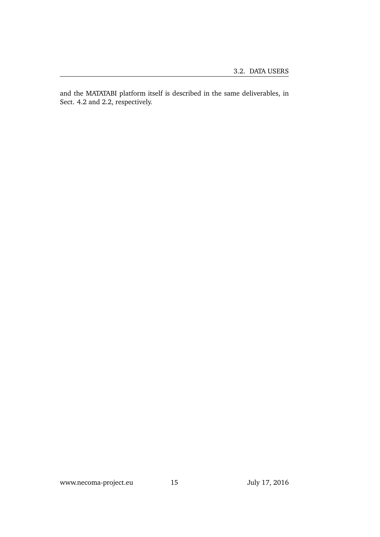and the MATATABI platform itself is described in the same deliverables, in Sect. 4.2 and 2.2, respectively.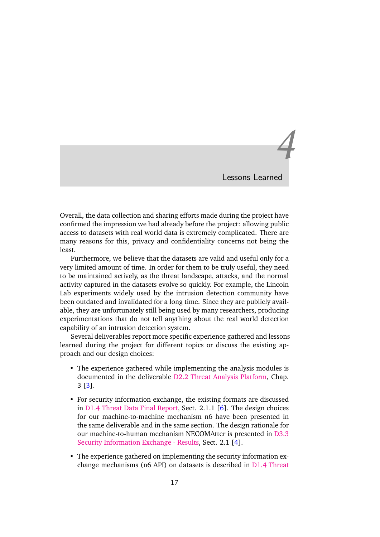*4* Lessons Learned

<span id="page-16-0"></span>Overall, the data collection and sharing efforts made during the project have confirmed the impression we had already before the project: allowing public access to datasets with real world data is extremely complicated. There are many reasons for this, privacy and confidentiality concerns not being the least.

Furthermore, we believe that the datasets are valid and useful only for a very limited amount of time. In order for them to be truly useful, they need to be maintained actively, as the threat landscape, attacks, and the normal activity captured in the datasets evolve so quickly. For example, the Lincoln Lab experiments widely used by the intrusion detection community have been outdated and invalidated for a long time. Since they are publicly available, they are unfortunately still being used by many researchers, producing experimentations that do not tell anything about the real world detection capability of an intrusion detection system.

Several deliverables report more specific experience gathered and lessons learned during the project for different topics or discuss the existing approach and our design choices:

- The experience gathered while implementing the analysis modules is documented in the deliverable [D2.2 Threat Analysis Platform,](http://www.necoma-project.eu/m/filer_public/74/f1/74f1bc84-e756-491b-8916-f892e28cf33c/necoma-d22r2579.pdf) Chap. 3 [\[3\]](#page-18-3).
- For security information exchange, the existing formats are discussed in [D1.4 Threat Data Final Report,](http://www.necoma-project.eu/m/filer_public/55/ec/55ec2e53-14fa-40f4-a67f-c7a092cfe463/necoma-d14.pdf) Sect. 2.1.1 [\[6\]](#page-18-4). The design choices for our machine-to-machine mechanism n6 have been presented in the same deliverable and in the same section. The design rationale for our machine-to-human mechanism NECOMAtter is presented in [D3.3](http://www.necoma-project.eu/m/filer_public/ef/8b/ef8bda53-edd2-4943-9c1f-95b30dbad1d1/necoma-d33r1946-public.pdf) [Security Information Exchange - Results,](http://www.necoma-project.eu/m/filer_public/ef/8b/ef8bda53-edd2-4943-9c1f-95b30dbad1d1/necoma-d33r1946-public.pdf) Sect. 2.1 [\[4\]](#page-18-5).
- The experience gathered on implementing the security information exchange mechanisms (n6 API) on datasets is described in [D1.4 Threat](http://www.necoma-project.eu/m/filer_public/55/ec/55ec2e53-14fa-40f4-a67f-c7a092cfe463/necoma-d14.pdf)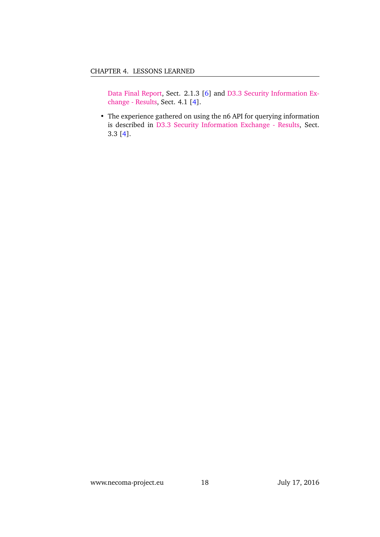[Data Final Report,](http://www.necoma-project.eu/m/filer_public/55/ec/55ec2e53-14fa-40f4-a67f-c7a092cfe463/necoma-d14.pdf) Sect. 2.1.3 [\[6\]](#page-18-4) and [D3.3 Security Information Ex](http://www.necoma-project.eu/m/filer_public/ef/8b/ef8bda53-edd2-4943-9c1f-95b30dbad1d1/necoma-d33r1946-public.pdf)[change - Results,](http://www.necoma-project.eu/m/filer_public/ef/8b/ef8bda53-edd2-4943-9c1f-95b30dbad1d1/necoma-d33r1946-public.pdf) Sect. 4.1 [\[4\]](#page-18-5).

• The experience gathered on using the n6 API for querying information is described in [D3.3 Security Information Exchange - Results,](http://www.necoma-project.eu/m/filer_public/ef/8b/ef8bda53-edd2-4943-9c1f-95b30dbad1d1/necoma-d33r1946-public.pdf) Sect. 3.3 [\[4\]](#page-18-5).